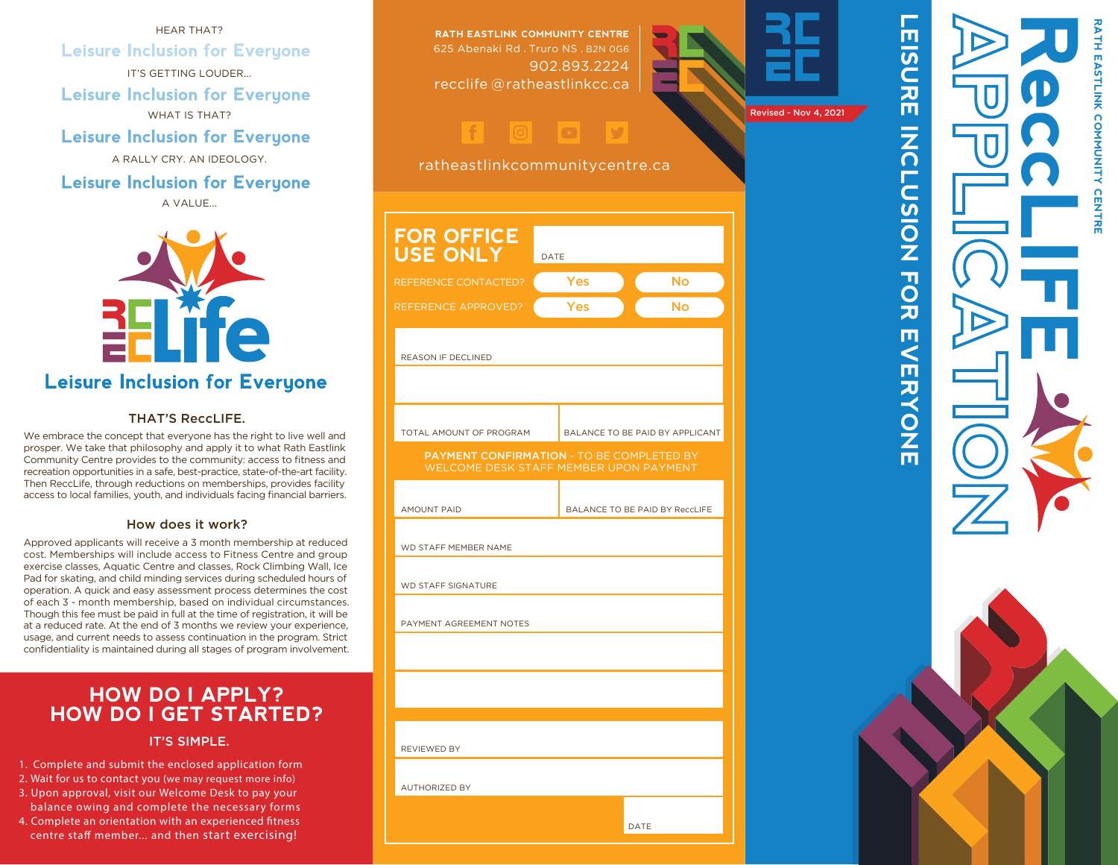HEAR THAT? **Leisure Inclusion for Everyone** IT'S GETTING LOUDER... **Leisure Inclusion for Everyone** WHAT IS THAT? **Leisure Inclusion for Everyone** A RALLY CRY. AN IDEOLOGY.

**Leisure Inclusion for Everyone** A VALUE...



**Leisure Inclusion for Everyone** 

#### THAT'S ReccLIFF.

We embrace the concept that everyone has the right to live well and prosper. We take that philosophy and apply it to what Rath Eastlink Community Centre provides to the community: access to fitness an d recreation opportunities in a safe, best-practice, state-of-the-art facility. Then ReccLife, through reductions on memberships, provides facility access to local families, youth, and individuals facing financial barriers.

#### How does it work?

Approved applicants will receive a 3 month membership at reduced cost. Memberships will include access to Fitness Centre and group exercise classes, Aquatic Centre and classes, Rock Climbing Wall, Ice Pad for skating, and child minding services during scheduled hours of operation. A quick and easy assessment process determines the cost of each 3 - month membership, based on individual circumstances. Though this fee must be paid in full at the time of registration, it will be at a reduced rate. At the end of 3 months we review your experience, usage, and current needs to assess continuation in the program. Strict confidentiality is maintained during all stages of program involvement.

### **HOW DO I APPLY? HOW DO I GET STARTED?**

IT'S SIMPLE.

- 1. Complete and submit the enclosed application form
- 2. Wait for us to contact you (we may request more info)
- 3. Upon approval, visit our Welcome Desk to pay your
- balance owing and complete the necessary forms 4. Complete an orientation with an experienced fitness centre staff member... and then start exercising!





**RATH EASTLINK COMMUNITY CENTRE**

LEISURE INCLUSION FOR EVERYONE

TO<br>又

П  $\leq$ 

**AKONNE** 

**NOISCLON** 

 $\overline{a}$ 

アルトラ